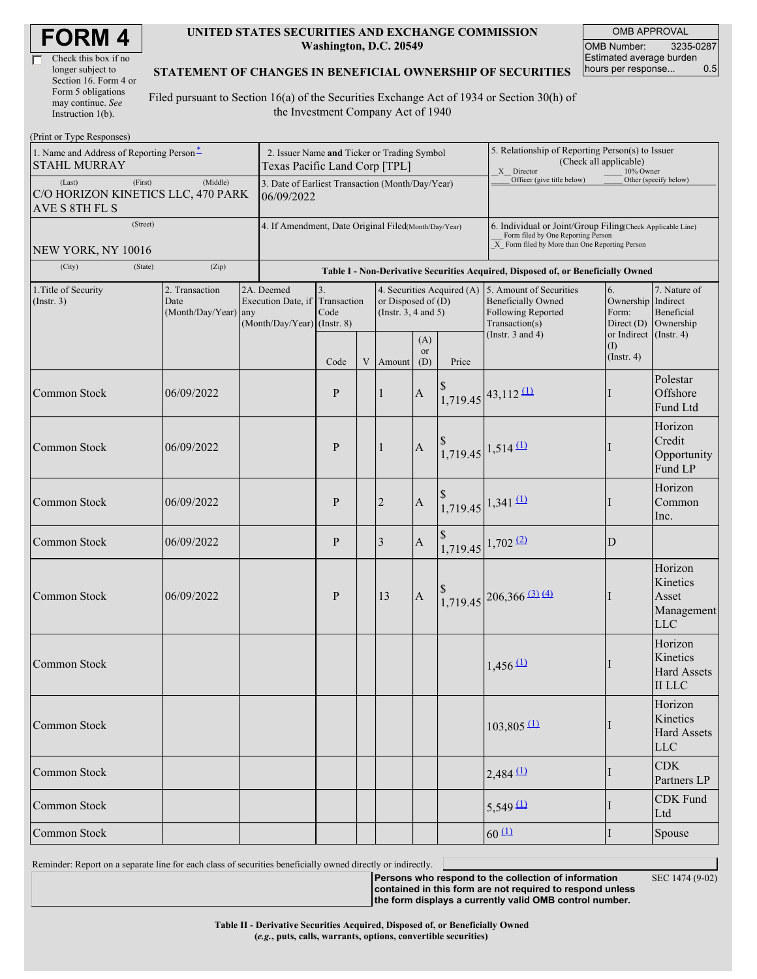| <b>FORM4</b> |  |
|--------------|--|
|--------------|--|

| Check this box if no  |
|-----------------------|
| longer subject to     |
| Section 16. Form 4 or |
| Form 5 obligations    |
| may continue. See     |
| Instruction 1(b).     |

#### **UNITED STATES SECURITIES AND EXCHANGE COMMISSION Washington, D.C. 20549**

OMB APPROVAL OMB Number: 3235-0287 Estimated average burden hours per response... 0.5

#### **STATEMENT OF CHANGES IN BENEFICIAL OWNERSHIP OF SECURITIES**

Filed pursuant to Section 16(a) of the Securities Exchange Act of 1934 or Section 30(h) of the Investment Company Act of 1940

| (Print or Type Responses)                                                 |                                                                              |                                                                               |                                                                                  |             |                                                                                |                             |                                                                                                                                                    |                                                                                                                       |                                                                                                                        |                                                            |
|---------------------------------------------------------------------------|------------------------------------------------------------------------------|-------------------------------------------------------------------------------|----------------------------------------------------------------------------------|-------------|--------------------------------------------------------------------------------|-----------------------------|----------------------------------------------------------------------------------------------------------------------------------------------------|-----------------------------------------------------------------------------------------------------------------------|------------------------------------------------------------------------------------------------------------------------|------------------------------------------------------------|
| 1. Name and Address of Reporting Person-<br><b>STAHL MURRAY</b>           | 2. Issuer Name and Ticker or Trading Symbol<br>Texas Pacific Land Corp [TPL] |                                                                               |                                                                                  |             |                                                                                |                             | 5. Relationship of Reporting Person(s) to Issuer<br>(Check all applicable)<br>X Director<br>10% Owner                                              |                                                                                                                       |                                                                                                                        |                                                            |
| (First)<br>(Last)<br>C/O HORIZON KINETICS LLC, 470 PARK<br>AVE S 8TH FL S | 3. Date of Earliest Transaction (Month/Day/Year)<br>06/09/2022               |                                                                               |                                                                                  |             |                                                                                |                             | Officer (give title below)                                                                                                                         |                                                                                                                       | Other (specify below)                                                                                                  |                                                            |
| (Street)                                                                  | 4. If Amendment, Date Original Filed(Month/Day/Year)                         |                                                                               |                                                                                  |             |                                                                                |                             | 6. Individual or Joint/Group Filing(Check Applicable Line)<br>Form filed by One Reporting Person<br>X Form filed by More than One Reporting Person |                                                                                                                       |                                                                                                                        |                                                            |
| NEW YORK, NY 10016<br>(City)<br>(State)                                   | (Zip)                                                                        |                                                                               | Table I - Non-Derivative Securities Acquired, Disposed of, or Beneficially Owned |             |                                                                                |                             |                                                                                                                                                    |                                                                                                                       |                                                                                                                        |                                                            |
| 1. Title of Security<br>(Insert. 3)                                       | 2. Transaction<br>Date<br>(Month/Day/Year) any                               | 2A. Deemed<br>Execution Date, if Transaction<br>$(Month/Day/Year)$ (Instr. 8) | 3.<br>Code                                                                       |             | 4. Securities Acquired (A)<br>or Disposed of $(D)$<br>(Instr. $3, 4$ and $5$ ) |                             |                                                                                                                                                    | 5. Amount of Securities<br><b>Beneficially Owned</b><br>Following Reported<br>Transaction(s)<br>(Instr. $3$ and $4$ ) | 7. Nature of<br>6.<br>Ownership Indirect<br>Beneficial<br>Form:<br>Ownership<br>Direct $(D)$<br>or Indirect (Instr. 4) |                                                            |
|                                                                           |                                                                              |                                                                               | Code                                                                             | $\mathbf V$ | Amount                                                                         | (A)<br><sub>or</sub><br>(D) | Price                                                                                                                                              |                                                                                                                       | (I)<br>$($ Instr. 4 $)$                                                                                                |                                                            |
| Common Stock                                                              | 06/09/2022                                                                   |                                                                               | P                                                                                |             | $\mathbf{1}$                                                                   | $\mathbf{A}$                |                                                                                                                                                    | $1,719.45$ 43,112 (1)                                                                                                 |                                                                                                                        | Polestar<br>Offshore<br>Fund Ltd                           |
| <b>Common Stock</b>                                                       | 06/09/2022                                                                   |                                                                               | P                                                                                |             | $\mathbf{1}$                                                                   | $\mathbf{A}$                |                                                                                                                                                    | $1,719.45$ 1,514 (1)                                                                                                  |                                                                                                                        | Horizon<br>Credit<br>Opportunity<br>Fund LP                |
| Common Stock                                                              | 06/09/2022                                                                   |                                                                               | $\mathbf{P}$                                                                     |             | $\overline{2}$                                                                 | $\boldsymbol{A}$            |                                                                                                                                                    | $1,719.45$ 1,341 (1)                                                                                                  |                                                                                                                        | Horizon<br>Common<br>Inc.                                  |
| Common Stock                                                              | 06/09/2022                                                                   |                                                                               | $\mathbf{P}$                                                                     |             | 3                                                                              | $\boldsymbol{A}$            |                                                                                                                                                    | $1,719.45$ 1,702 (2)                                                                                                  | D                                                                                                                      |                                                            |
| Common Stock                                                              | 06/09/2022                                                                   |                                                                               | P                                                                                |             | 13                                                                             | $\boldsymbol{A}$            |                                                                                                                                                    | $1,719.45$ 206,366 (3) (4)                                                                                            |                                                                                                                        | Horizon<br>Kinetics<br>Asset<br>Management<br><b>LLC</b>   |
| Common Stock                                                              |                                                                              |                                                                               |                                                                                  |             |                                                                                |                             |                                                                                                                                                    | $1,456$ <sup>(1)</sup>                                                                                                |                                                                                                                        | Horizon<br>Kinetics<br><b>Hard Assets</b><br><b>II LLC</b> |
| Common Stock                                                              |                                                                              |                                                                               |                                                                                  |             |                                                                                |                             |                                                                                                                                                    | $103,805$ <sup>(1)</sup>                                                                                              |                                                                                                                        | Horizon<br>Kinetics<br><b>Hard Assets</b><br><b>LLC</b>    |
| Common Stock                                                              |                                                                              |                                                                               |                                                                                  |             |                                                                                |                             |                                                                                                                                                    | $2,484$ <sup>(1)</sup>                                                                                                |                                                                                                                        | <b>CDK</b><br>Partners LP                                  |
| Common Stock                                                              |                                                                              |                                                                               |                                                                                  |             |                                                                                |                             |                                                                                                                                                    | $5,549 \underline{11}$                                                                                                | $\bf{l}$                                                                                                               | CDK Fund<br>Ltd                                            |
| Common Stock                                                              |                                                                              |                                                                               |                                                                                  |             |                                                                                |                             | $60 \Omega$                                                                                                                                        | I                                                                                                                     | Spouse                                                                                                                 |                                                            |

Reminder: Report on a separate line for each class of securities beneficially owned directly or indirectly.

**Persons who respond to the collection of information**

SEC 1474 (9-02)

**contained in this form are not required to respond unless the form displays a currently valid OMB control number.**

**Table II - Derivative Securities Acquired, Disposed of, or Beneficially Owned**

**(***e.g.***, puts, calls, warrants, options, convertible securities)**